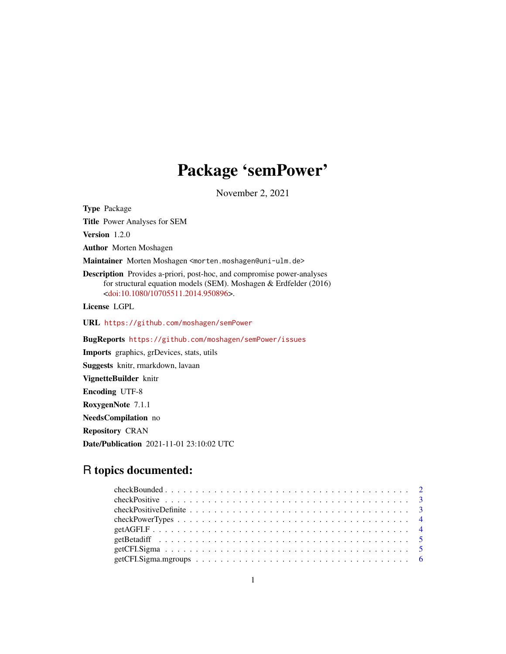# Package 'semPower'

November 2, 2021

Type Package

Title Power Analyses for SEM

Version 1.2.0

Author Morten Moshagen

Maintainer Morten Moshagen <morten.moshagen@uni-ulm.de>

Description Provides a-priori, post-hoc, and compromise power-analyses for structural equation models (SEM). Moshagen & Erdfelder (2016) [<doi:10.1080/10705511.2014.950896>](https://doi.org/10.1080/10705511.2014.950896).

License LGPL

URL <https://github.com/moshagen/semPower>

BugReports <https://github.com/moshagen/semPower/issues>

Imports graphics, grDevices, stats, utils

Suggests knitr, rmarkdown, lavaan

VignetteBuilder knitr

Encoding UTF-8

RoxygenNote 7.1.1

NeedsCompilation no

Repository CRAN

Date/Publication 2021-11-01 23:10:02 UTC

# R topics documented: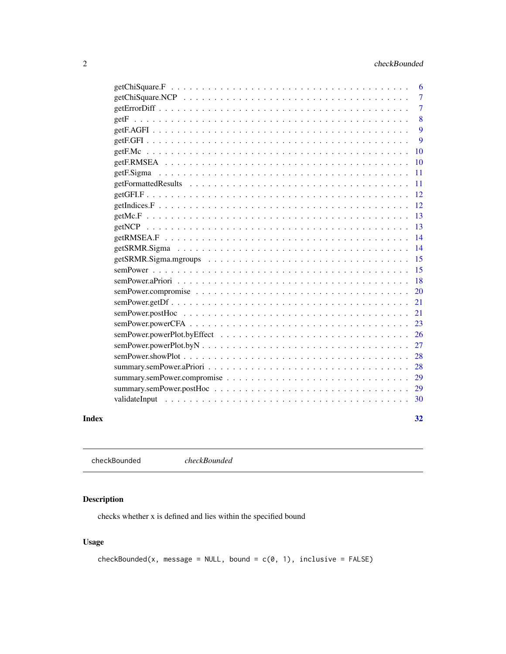# <span id="page-1-0"></span>2 checkBounded

|       |                                                                                                                | 6  |
|-------|----------------------------------------------------------------------------------------------------------------|----|
|       |                                                                                                                | 7  |
|       |                                                                                                                | 7  |
|       |                                                                                                                | 8  |
|       |                                                                                                                | 9  |
|       |                                                                                                                | 9  |
|       |                                                                                                                | 10 |
|       |                                                                                                                | 10 |
|       |                                                                                                                | 11 |
|       |                                                                                                                | 11 |
|       |                                                                                                                | 12 |
|       |                                                                                                                | 12 |
|       |                                                                                                                | 13 |
|       |                                                                                                                | 13 |
|       |                                                                                                                | 14 |
|       |                                                                                                                | 14 |
|       |                                                                                                                | 15 |
|       |                                                                                                                | 15 |
|       |                                                                                                                | 18 |
|       |                                                                                                                | 20 |
|       | $semPower.getDf \ldots \ldots \ldots \ldots \ldots \ldots \ldots \ldots \ldots \ldots \ldots \ldots \ldots$    | 21 |
|       | $semPower, postHoc \ldots \ldots \ldots \ldots \ldots \ldots \ldots \ldots \ldots \ldots \ldots \ldots \ldots$ | 21 |
|       |                                                                                                                | 23 |
|       |                                                                                                                | 26 |
|       |                                                                                                                | 27 |
|       |                                                                                                                | 28 |
|       |                                                                                                                | 28 |
|       |                                                                                                                | 29 |
|       |                                                                                                                | 29 |
|       |                                                                                                                | 30 |
|       |                                                                                                                |    |
| Index |                                                                                                                | 32 |

checkBounded *checkBounded*

# Description

checks whether x is defined and lies within the specified bound

# Usage

checkBounded(x, message = NULL, bound =  $c(\emptyset, 1)$ , inclusive = FALSE)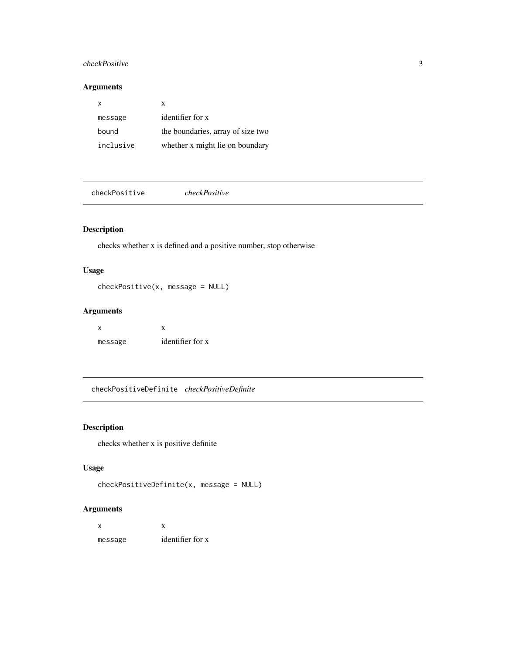#### <span id="page-2-0"></span>checkPositive 3

### Arguments

| x         | x                                 |
|-----------|-----------------------------------|
| message   | identifier for x                  |
| bound     | the boundaries, array of size two |
| inclusive | whether x might lie on boundary   |

checkPositive *checkPositive*

#### Description

checks whether x is defined and a positive number, stop otherwise

#### Usage

checkPositive(x, message = NULL)

#### Arguments

 $x \rightarrow x$ message identifier for x

checkPositiveDefinite *checkPositiveDefinite*

# Description

checks whether x is positive definite

# Usage

```
checkPositiveDefinite(x, message = NULL)
```

| x       |                  |
|---------|------------------|
| message | identifier for x |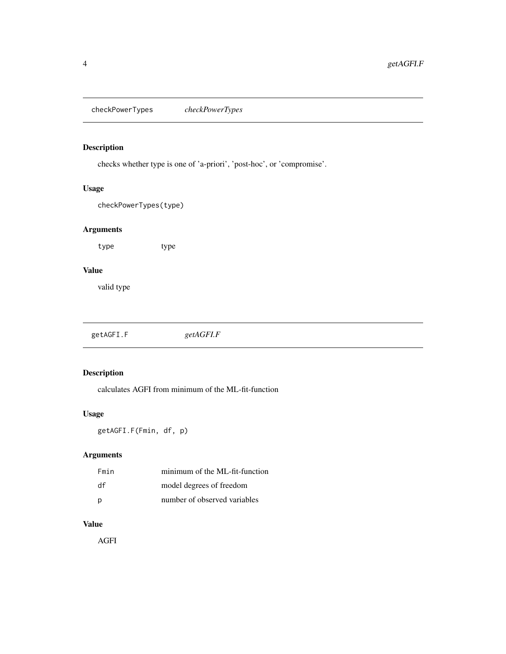<span id="page-3-0"></span>checkPowerTypes *checkPowerTypes*

# Description

checks whether type is one of 'a-priori', 'post-hoc', or 'compromise'.

#### Usage

checkPowerTypes(type)

#### Arguments

type type

#### Value

valid type

getAGFI.F *getAGFI.F*

# Description

calculates AGFI from minimum of the ML-fit-function

#### Usage

getAGFI.F(Fmin, df, p)

# Arguments

| Fmin | minimum of the ML-fit-function |
|------|--------------------------------|
| df   | model degrees of freedom       |
| p    | number of observed variables   |

### Value

AGFI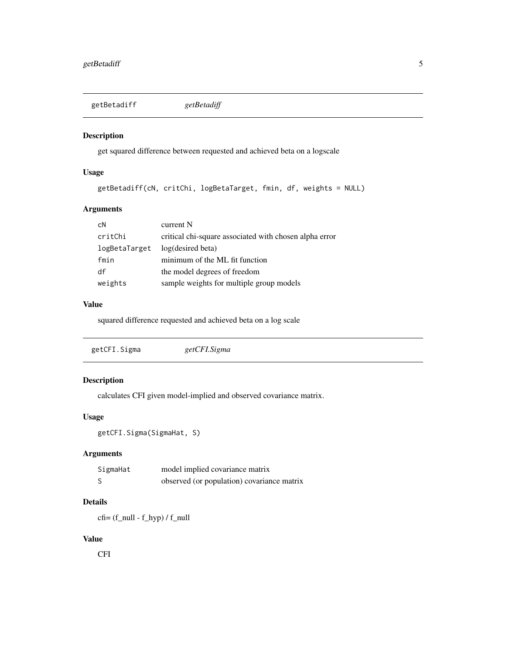<span id="page-4-0"></span>getBetadiff *getBetadiff*

# Description

get squared difference between requested and achieved beta on a logscale

# Usage

```
getBetadiff(cN, critChi, logBetaTarget, fmin, df, weights = NULL)
```
# Arguments

| cN            | current N                                              |
|---------------|--------------------------------------------------------|
| critChi       | critical chi-square associated with chosen alpha error |
| logBetaTarget | log(desired beta)                                      |
| fmin          | minimum of the ML fit function                         |
| df            | the model degrees of freedom                           |
| weights       | sample weights for multiple group models               |

# Value

squared difference requested and achieved beta on a log scale

| getCFI.Sigma | getCFI.Sigma |  |
|--------------|--------------|--|
|--------------|--------------|--|

### Description

calculates CFI given model-implied and observed covariance matrix.

#### Usage

```
getCFI.Sigma(SigmaHat, S)
```
#### Arguments

| SigmaHat | model implied covariance matrix            |
|----------|--------------------------------------------|
|          | observed (or population) covariance matrix |

#### Details

cfi= (f\_null - f\_hyp) / f\_null

#### Value

CFI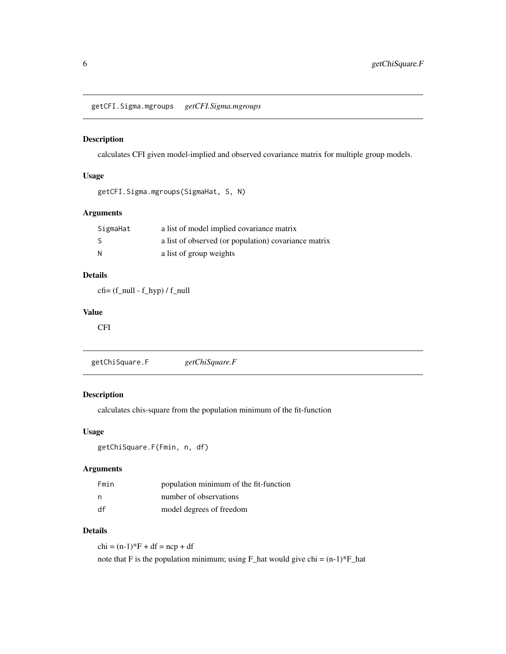<span id="page-5-0"></span>getCFI.Sigma.mgroups *getCFI.Sigma.mgroups*

#### Description

calculates CFI given model-implied and observed covariance matrix for multiple group models.

#### Usage

```
getCFI.Sigma.mgroups(SigmaHat, S, N)
```
#### Arguments

| SigmaHat | a list of model implied covariance matrix            |
|----------|------------------------------------------------------|
| -S       | a list of observed (or population) covariance matrix |
| N        | a list of group weights                              |

#### Details

 $cf = (f_{null} - f_{hyp}) / f_{null}$ 

#### Value

CFI

getChiSquare.F *getChiSquare.F*

#### Description

calculates chis-square from the population minimum of the fit-function

#### Usage

```
getChiSquare.F(Fmin, n, df)
```
#### Arguments

| Fmin | population minimum of the fit-function |
|------|----------------------------------------|
| - n  | number of observations                 |
| df   | model degrees of freedom               |

#### Details

 $chi = (n-1)*F + df = ncp + df$ 

note that F is the population minimum; using F\_hat would give chi =  $(n-1)*F_h$ -hat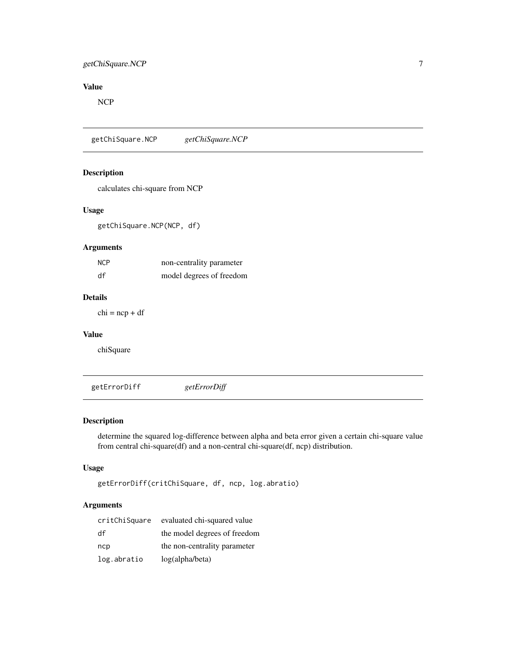# <span id="page-6-0"></span>getChiSquare.NCP 7

# Value

NCP

getChiSquare.NCP *getChiSquare.NCP*

#### Description

calculates chi-square from NCP

#### Usage

getChiSquare.NCP(NCP, df)

#### Arguments

| <b>NCP</b> | non-centrality parameter |
|------------|--------------------------|
| df         | model degrees of freedom |

#### Details

 $chi = ncp + df$ 

#### Value

chiSquare

getErrorDiff *getErrorDiff*

#### Description

determine the squared log-difference between alpha and beta error given a certain chi-square value from central chi-square(df) and a non-central chi-square(df, ncp) distribution.

#### Usage

```
getErrorDiff(critChiSquare, df, ncp, log.abratio)
```

| critChiSquare | evaluated chi-squared value  |
|---------------|------------------------------|
| df            | the model degrees of freedom |
| ncp           | the non-centrality parameter |
| log.abratio   | log(alpha/beta)              |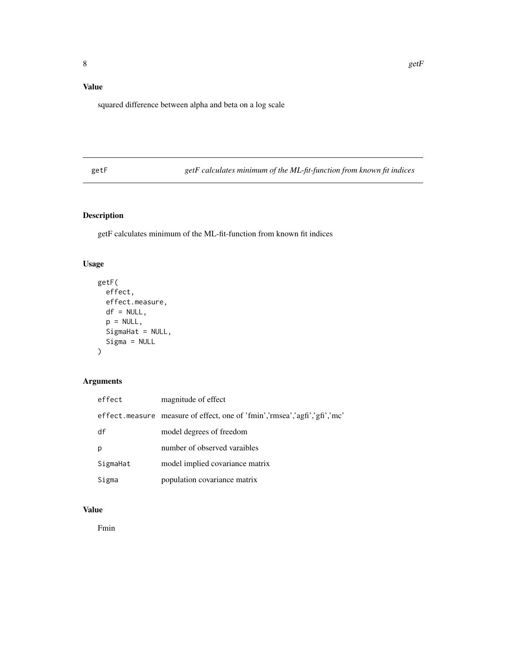# <span id="page-7-0"></span>Value

squared difference between alpha and beta on a log scale

getF *getF calculates minimum of the ML-fit-function from known fit indices*

#### Description

getF calculates minimum of the ML-fit-function from known fit indices

# Usage

```
getF(
  effect,
  effect.measure,
  df = NULL,p = NULL,SigmaHat = NULL,
  Sigma = NULL
\mathcal{L}
```
# Arguments

| effect   | magnitude of effect                                                        |
|----------|----------------------------------------------------------------------------|
|          | effect. measure measure of effect, one of 'fmin','rmsea','agfi','gfi','mc' |
| df       | model degrees of freedom                                                   |
| p        | number of observed varaibles                                               |
| SigmaHat | model implied covariance matrix                                            |
| Sigma    | population covariance matrix                                               |

# Value

Fmin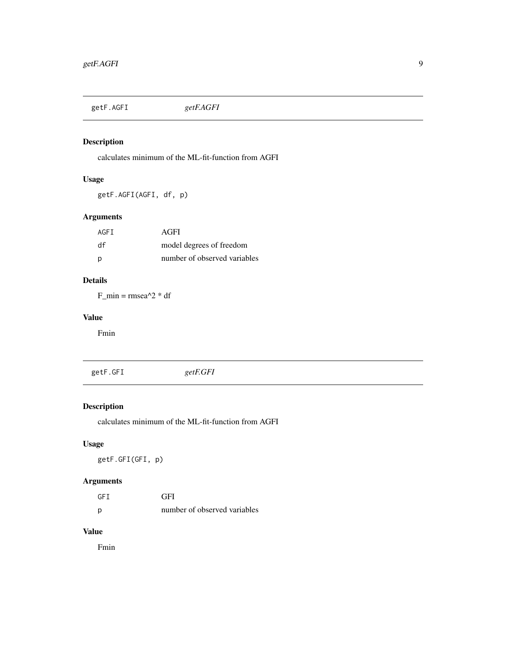<span id="page-8-0"></span>getF.AGFI *getF.AGFI*

# Description

calculates minimum of the ML-fit-function from AGFI

#### Usage

getF.AGFI(AGFI, df, p)

#### Arguments

| AGFI | AGFI                         |
|------|------------------------------|
| df   | model degrees of freedom     |
| D    | number of observed variables |

# Details

 $F_{min} = rmsea^{2} * df$ 

#### Value

Fmin

getF.GFI *getF.GFI*

# Description

calculates minimum of the ML-fit-function from AGFI

# Usage

getF.GFI(GFI, p)

#### Arguments

| <b>GFT</b> | GFI                          |
|------------|------------------------------|
| p          | number of observed variables |

#### Value

Fmin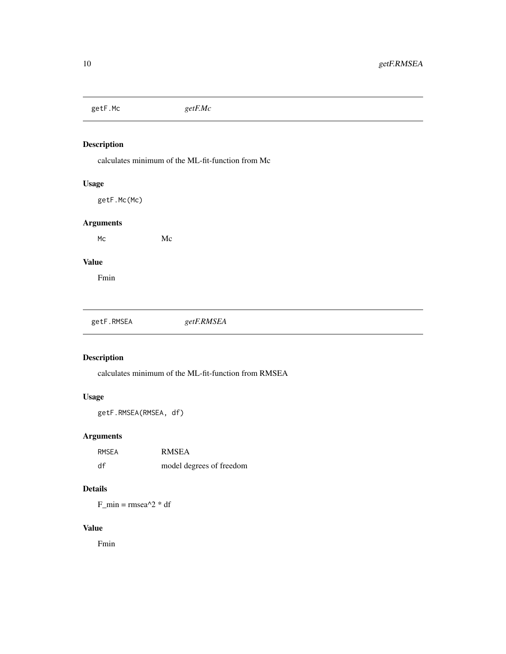<span id="page-9-0"></span>getF.Mc *getF.Mc*

#### Description

calculates minimum of the ML-fit-function from Mc

#### Usage

getF.Mc(Mc)

#### Arguments

Mc Mc

# Value

Fmin

| getF.RMSEA | getF.RMSEA |
|------------|------------|
|------------|------------|

# Description

calculates minimum of the ML-fit-function from RMSEA

#### Usage

getF.RMSEA(RMSEA, df)

# Arguments

| RMSEA | <b>RMSEA</b>             |
|-------|--------------------------|
| df    | model degrees of freedom |

# Details

F\_min =  $rmsea^2$  \* df

# Value

Fmin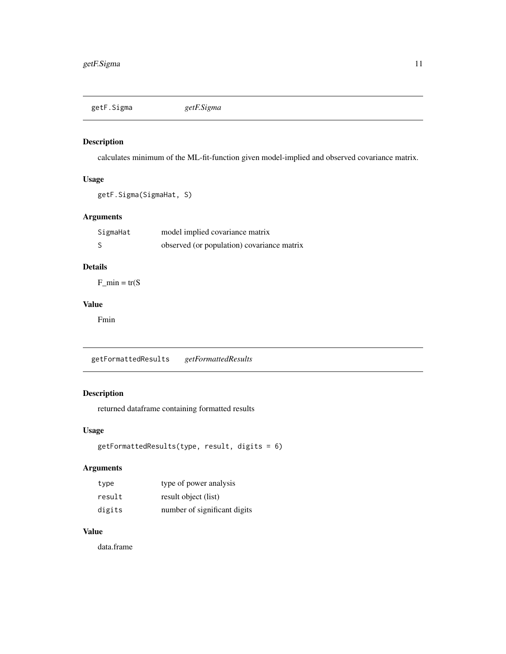<span id="page-10-0"></span>getF.Sigma *getF.Sigma*

#### Description

calculates minimum of the ML-fit-function given model-implied and observed covariance matrix.

#### Usage

```
getF.Sigma(SigmaHat, S)
```
#### Arguments

| SigmaHat | model implied covariance matrix            |
|----------|--------------------------------------------|
|          | observed (or population) covariance matrix |

# Details

 $F_{min} = tr(S)$ 

### Value

Fmin

getFormattedResults *getFormattedResults*

#### Description

returned dataframe containing formatted results

#### Usage

```
getFormattedResults(type, result, digits = 6)
```
#### Arguments

| type   | type of power analysis       |
|--------|------------------------------|
| result | result object (list)         |
| digits | number of significant digits |

#### Value

data.frame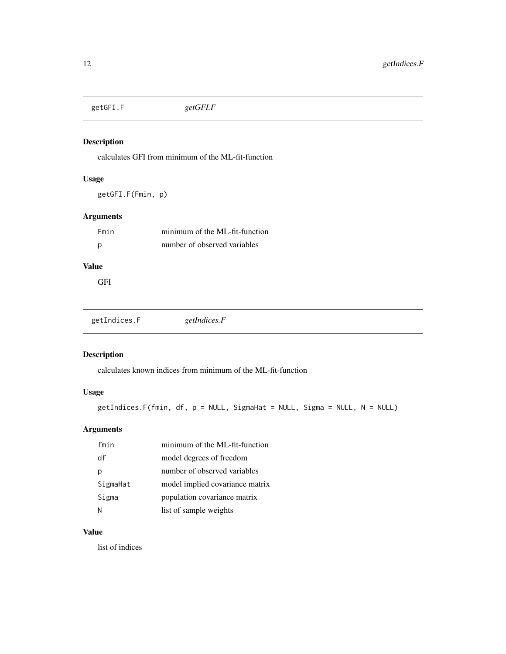<span id="page-11-0"></span>getGFI.F *getGFI.F*

#### Description

calculates GFI from minimum of the ML-fit-function

#### Usage

getGFI.F(Fmin, p)

#### Arguments

| Fmin | minimum of the ML-fit-function |
|------|--------------------------------|
| Ŋ    | number of observed variables   |

### Value

GFI

getIndices.F *getIndices.F*

# Description

calculates known indices from minimum of the ML-fit-function

# Usage

```
getIndices.F(fmin, df, p = NULL, SigmaHat = NULL, Sigma = NULL, N = NULL)
```
# Arguments

| fmin     | minimum of the ML-fit-function  |
|----------|---------------------------------|
| df       | model degrees of freedom        |
| Ŋ        | number of observed variables    |
| SigmaHat | model implied covariance matrix |
| Sigma    | population covariance matrix    |
| N        | list of sample weights          |

#### Value

list of indices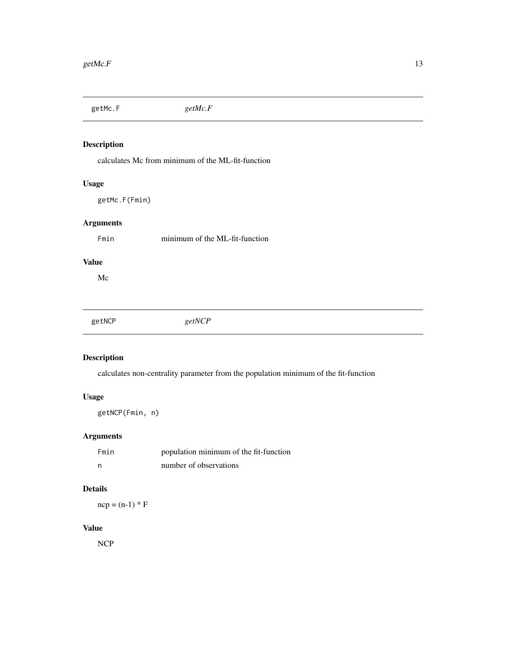<span id="page-12-0"></span>getMc.F *getMc.F*

#### Description

calculates Mc from minimum of the ML-fit-function

#### Usage

getMc.F(Fmin)

# Arguments

Fmin minimum of the ML-fit-function

# Value

Mc

| getNCP | getNCP |  |
|--------|--------|--|
|        |        |  |

#### Description

calculates non-centrality parameter from the population minimum of the fit-function

#### Usage

getNCP(Fmin, n)

# Arguments

| Fmin | population minimum of the fit-function |
|------|----------------------------------------|
| n    | number of observations                 |

# Details

 $ncp = (n-1) * F$ 

#### Value

NCP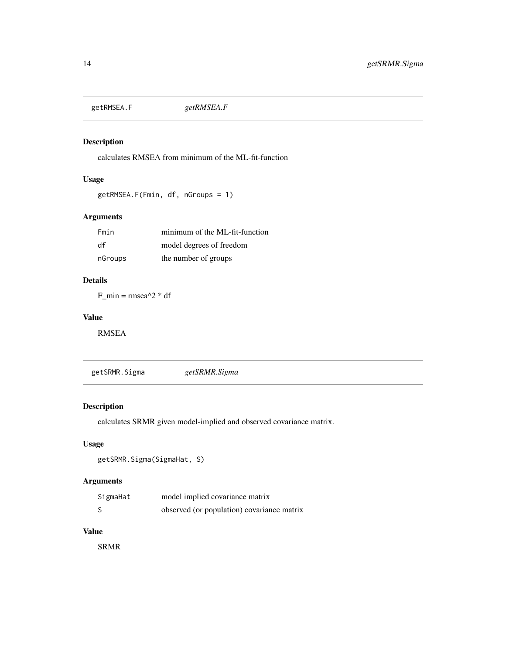<span id="page-13-0"></span>getRMSEA.F *getRMSEA.F*

#### Description

calculates RMSEA from minimum of the ML-fit-function

#### Usage

getRMSEA.F(Fmin, df, nGroups = 1)

#### Arguments

| Fmin    | minimum of the ML-fit-function |
|---------|--------------------------------|
| df      | model degrees of freedom       |
| nGroups | the number of groups           |

# Details

 $F_{min} = rmsea^{2}$  \* df

#### Value

RMSEA

getSRMR.Sigma *getSRMR.Sigma*

# Description

calculates SRMR given model-implied and observed covariance matrix.

#### Usage

```
getSRMR.Sigma(SigmaHat, S)
```
#### Arguments

| SigmaHat | model implied covariance matrix            |
|----------|--------------------------------------------|
|          | observed (or population) covariance matrix |

#### Value

SRMR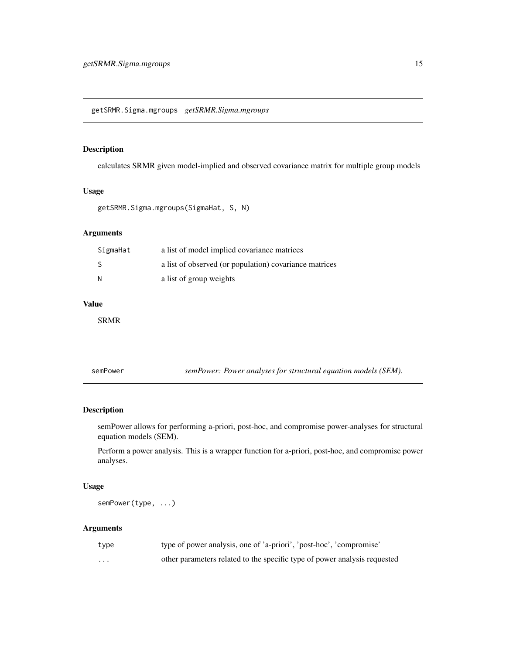#### <span id="page-14-0"></span>Description

calculates SRMR given model-implied and observed covariance matrix for multiple group models

#### Usage

getSRMR.Sigma.mgroups(SigmaHat, S, N)

#### Arguments

| SigmaHat | a list of model implied covariance matrices            |
|----------|--------------------------------------------------------|
| -S       | a list of observed (or population) covariance matrices |
| -N       | a list of group weights                                |

#### Value

SRMR

semPower *semPower: Power analyses for structural equation models (SEM).*

#### Description

semPower allows for performing a-priori, post-hoc, and compromise power-analyses for structural equation models (SEM).

Perform a power analysis. This is a wrapper function for a-priori, post-hoc, and compromise power analyses.

#### Usage

semPower(type, ...)

| type    | type of power analysis, one of 'a-priori', 'post-hoc', 'compromise'       |
|---------|---------------------------------------------------------------------------|
| $\cdot$ | other parameters related to the specific type of power analysis requested |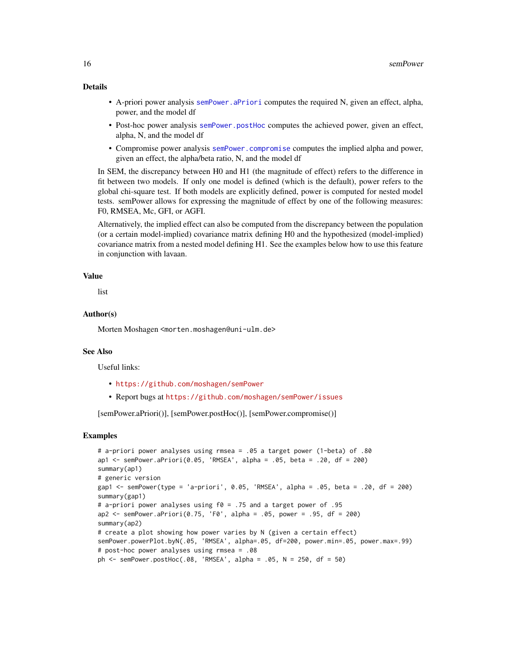#### <span id="page-15-0"></span>Details

- A-priori power analysis [semPower.aPriori](#page-17-1) computes the required N, given an effect, alpha, power, and the model df
- Post-hoc power analysis [semPower.postHoc](#page-20-1) computes the achieved power, given an effect, alpha, N, and the model df
- Compromise power analysis [semPower.compromise](#page-19-1) computes the implied alpha and power, given an effect, the alpha/beta ratio, N, and the model df

In SEM, the discrepancy between H0 and H1 (the magnitude of effect) refers to the difference in fit between two models. If only one model is defined (which is the default), power refers to the global chi-square test. If both models are explicitly defined, power is computed for nested model tests. semPower allows for expressing the magnitude of effect by one of the following measures: F0, RMSEA, Mc, GFI, or AGFI.

Alternatively, the implied effect can also be computed from the discrepancy between the population (or a certain model-implied) covariance matrix defining H0 and the hypothesized (model-implied) covariance matrix from a nested model defining H1. See the examples below how to use this feature in conjunction with lavaan.

#### Value

list

#### Author(s)

Morten Moshagen <morten.moshagen@uni-ulm.de>

#### See Also

Useful links:

- <https://github.com/moshagen/semPower>
- Report bugs at <https://github.com/moshagen/semPower/issues>

[semPower.aPriori()], [semPower.postHoc()], [semPower.compromise()]

#### Examples

```
# a-priori power analyses using rmsea = .05 a target power (1-beta) of .80
ap1 <- semPower.aPriori(0.05, 'RMSEA', alpha = .05, beta = .20, df = 200)
summary(ap1)
# generic version
gap1 \le semPower(type = 'a-priori', 0.05, 'RMSEA', alpha = .05, beta = .20, df = 200)
summary(gap1)
# a-priori power analyses using f0 = .75 and a target power of .95
ap2 <- semPower.aPriori(0.75, 'F0', alpha = .05, power = .95, df = 200)
summary(ap2)
# create a plot showing how power varies by N (given a certain effect)
semPower.powerPlot.byN(.05, 'RMSEA', alpha=.05, df=200, power.min=.05, power.max=.99)
# post-hoc power analyses using rmsea = .08
ph <- semPower.postHoc(.08, 'RMSEA', alpha = .05, N = 250, df = 50)
```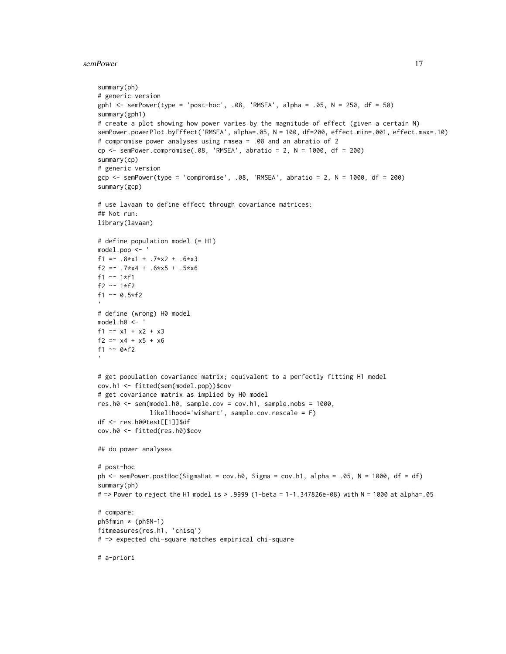#### semPower 17

```
summary(ph)
# generic version
gph1 <- semPower(type = 'post-hoc', .08, 'RMSEA', alpha = .05, N = 250, df = 50)
summary(gph1)
# create a plot showing how power varies by the magnitude of effect (given a certain N)
semPower.powerPlot.byEffect('RMSEA', alpha=.05, N = 100, df=200, effect.min=.001, effect.max=.10)
# compromise power analyses using rmsea = .08 and an abratio of 2
cp \le - semPower.compromise(.08, 'RMSEA', abratio = 2, N = 1000, df = 200)
summary(cp)
# generic version
gcp <- semPower(type = 'compromise', .08, 'RMSEA', abratio = 2, N = 1000, df = 200)
summary(gcp)
# use lavaan to define effect through covariance matrices:
## Not run:
library(lavaan)
# define population model (= H1)
model.pop <- '
f1 = -.8 \times x1 + .7 \times x2 + .6 \times x3f2 =~ .7*x4 + .6*x5 + .5*x6
f1 ~~ 1*f1
f2 ~~ 1*f2
f1 \sim 0.5*f2
# define (wrong) H0 model
model.h0 <- '
f1 = x1 + x2 + x3f2 = x4 + x5 + x6f1 \sim 0*f2
# get population covariance matrix; equivalent to a perfectly fitting H1 model
cov.h1 <- fitted(sem(model.pop))$cov
# get covariance matrix as implied by H0 model
res.h0 <- sem(model.h0, sample.cov = cov.h1, sample.nobs = 1000,
              likelihood='wishart', sample.cov.rescale = F)
df <- res.h0@test[[1]]$df
cov.h0 <- fitted(res.h0)$cov
## do power analyses
# post-hoc
ph <- semPower.postHoc(SigmaHat = cov.h0, Sigma = cov.h1, alpha = .05, N = 1000, df = df)
summary(ph)
# => Power to reject the H1 model is > .9999 (1-beta = 1-1.347826e-08) with N = 1000 at alpha=.05
# compare:
ph$fmin * (ph$N-1)
fitmeasures(res.h1, 'chisq')
# => expected chi-square matches empirical chi-square
# a-priori
```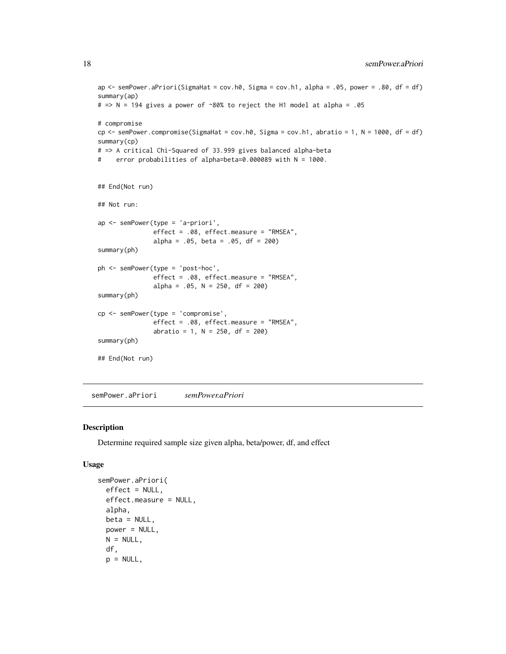```
ap \le semPower.aPriori(SigmaHat = cov.h0, Sigma = cov.h1, alpha = .05, power = .80, df = df)
summary(ap)
# => N = 194 gives a power of ~80% to reject the H1 model at alpha = .05
# compromise
cp \leq semPower.compromise(SigmaHat = cov.h0, Sigma = cov.h1, abratio = 1, N = 1000, df = df)
summary(cp)
# => A critical Chi-Squared of 33.999 gives balanced alpha-beta
# error probabilities of alpha=beta=0.000089 with N = 1000.
## End(Not run)
## Not run:
ap <- semPower(type = 'a-priori',
               effect = .08, effect.measure = "RMSEA",
               alpha = .05, beta = .05, df = 200)
summary(ph)
ph <- semPower(type = 'post-hoc',
               effect = .08, effect.measure = "RMSEA",
               alpha = .05, N = 250, df = 200)
summary(ph)
cp <- semPower(type = 'compromise',
               effect = .08, effect.measure = "RMSEA",
               abratio = 1, N = 250, df = 200)
summary(ph)
## End(Not run)
```
<span id="page-17-1"></span>semPower.aPriori *semPower.aPriori*

#### Description

Determine required sample size given alpha, beta/power, df, and effect

#### Usage

```
semPower.aPriori(
 effect = NULL,effect.measure = NULL,
 alpha,
 beta = NULL,
 power = NULL,
 N = NULL,df,
 p = NULL,
```
<span id="page-17-0"></span>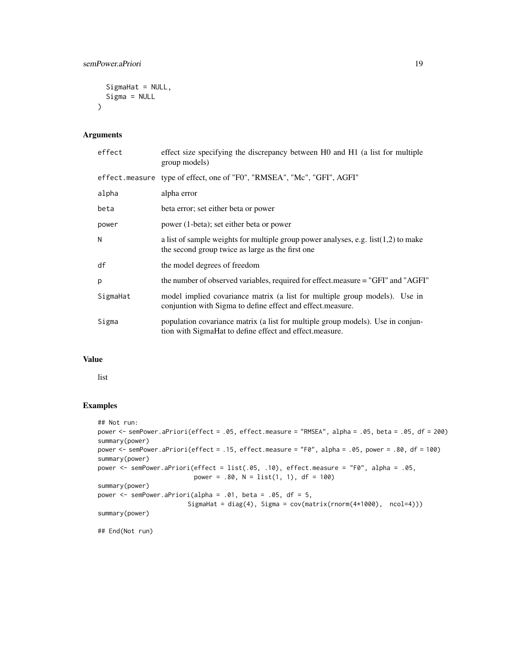```
SigmaHat = NULL,
 Sigma = NULL
\lambda
```
#### Arguments

| effect   | effect size specifying the discrepancy between H0 and H1 (a list for multiple<br>group models)                                             |
|----------|--------------------------------------------------------------------------------------------------------------------------------------------|
|          | effect.measure type of effect, one of "F0", "RMSEA", "Mc", "GFI", AGFI"                                                                    |
| alpha    | alpha error                                                                                                                                |
| beta     | beta error; set either beta or power                                                                                                       |
| power    | power (1-beta); set either beta or power                                                                                                   |
| N        | a list of sample weights for multiple group power analyses, e.g. $list(1,2)$ to make<br>the second group twice as large as the first one   |
| df       | the model degrees of freedom                                                                                                               |
| p        | the number of observed variables, required for effect.measure = "GFI" and "AGFI"                                                           |
| SigmaHat | model implied covariance matrix (a list for multiple group models). Use in<br>conjuntion with Sigma to define effect and effect measure.   |
| Sigma    | population covariance matrix (a list for multiple group models). Use in conjun-<br>tion with SigmaHat to define effect and effect measure. |

#### Value

list

#### Examples

```
## Not run:
power <- semPower.aPriori(effect = .05, effect.measure = "RMSEA", alpha = .05, beta = .05, df = 200)
summary(power)
power <- semPower.aPriori(effect = .15, effect.measure = "F0", alpha = .05, power = .80, df = 100)
summary(power)
power <- semPower.aPriori(effect = list(.05, .10), effect.measure = "F0", alpha = .05,
                          power = .80, N = list(1, 1), df = 100)
summary(power)
power \leq semPower.aPriori(alpha = .01, beta = .05, df = 5,
                         SigmaHat = diag(4), Sigma = cov(matrix(rnorm(4*1000), ncol=4)))
summary(power)
## End(Not run)
```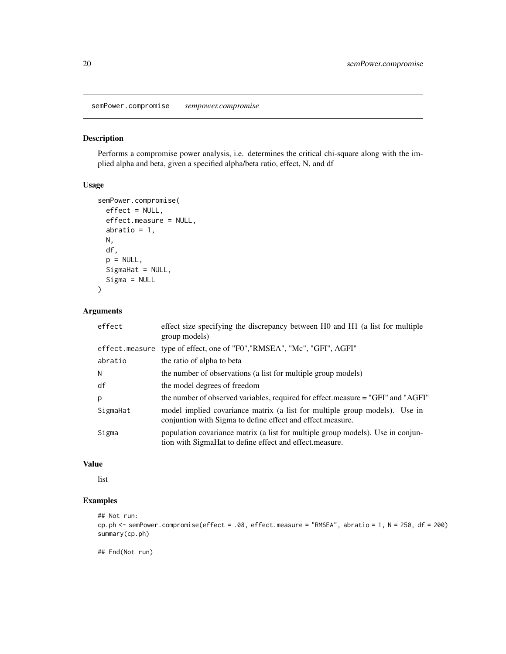<span id="page-19-1"></span><span id="page-19-0"></span>semPower.compromise *sempower.compromise*

#### Description

Performs a compromise power analysis, i.e. determines the critical chi-square along with the implied alpha and beta, given a specified alpha/beta ratio, effect, N, and df

#### Usage

```
semPower.compromise(
 effect = NULL,
 effect.measure = NULL,
  abratio = 1,
 N,
  df,
 p = NULL,SigmaHat = NULL,
  Sigma = NULL
)
```
#### Arguments

| effect         | effect size specifying the discrepancy between H0 and H1 (a list for multiple<br>group models)                                              |
|----------------|---------------------------------------------------------------------------------------------------------------------------------------------|
| effect.measure | type of effect, one of "F0", "RMSEA", "Mc", "GFI", AGFI"                                                                                    |
| abratio        | the ratio of alpha to beta                                                                                                                  |
| N              | the number of observations (a list for multiple group models)                                                                               |
| df             | the model degrees of freedom                                                                                                                |
| p              | the number of observed variables, required for effect.measure = "GFI" and "AGFI"                                                            |
| SigmaHat       | model implied covariance matrix (a list for multiple group models). Use in<br>conjuntion with Sigma to define effect and effect measure.    |
| Sigma          | population covariance matrix (a list for multiple group models). Use in conjun-<br>tion with SigmaHat to define effect and effect. measure. |

### Value

list

#### Examples

```
## Not run:
cp.ph <- semPower.compromise(effect = .08, effect.measure = "RMSEA", abratio = 1, N = 250, df = 200)
summary(cp.ph)
```
## End(Not run)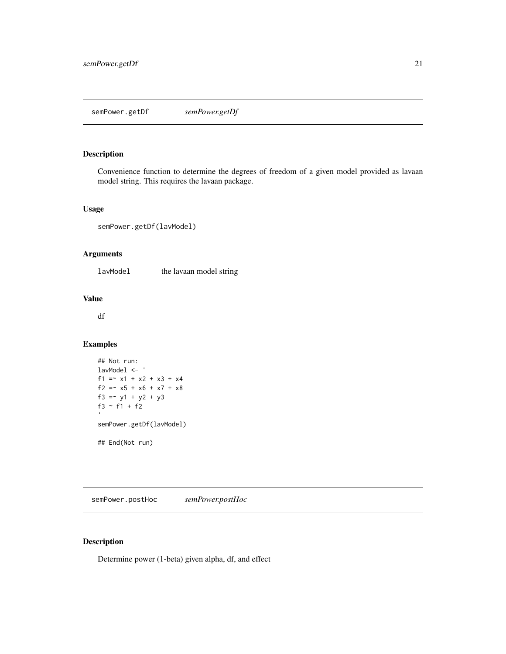# <span id="page-20-0"></span>Description

Convenience function to determine the degrees of freedom of a given model provided as lavaan model string. This requires the lavaan package.

#### Usage

```
semPower.getDf(lavModel)
```
#### Arguments

lavModel the lavaan model string

#### Value

df

#### Examples

```
## Not run:
lavModel <- '
f1 = x1 + x2 + x3 + x4f2 = x5 + x6 + x7 + x8f3 = -y1 + y2 + y3f3 ~ f1 + f2
semPower.getDf(lavModel)
## End(Not run)
```
<span id="page-20-1"></span>semPower.postHoc *semPower.postHoc*

#### Description

Determine power (1-beta) given alpha, df, and effect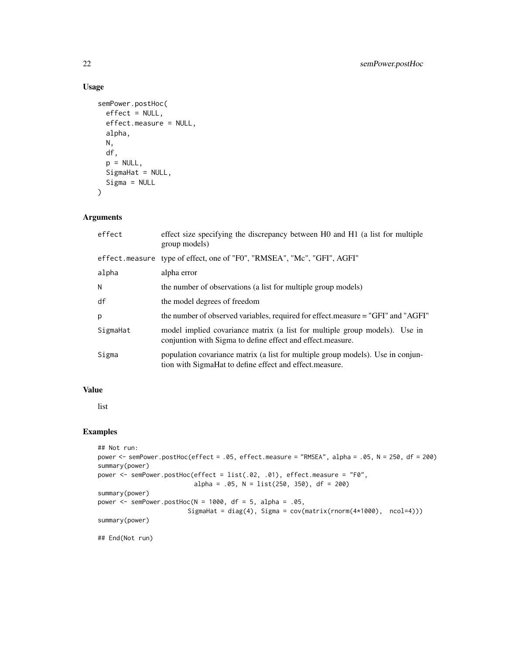#### Usage

```
semPower.postHoc(
 effect = NULL,
 effect.measure = NULL,
  alpha,
 N,
 df,
 p = NULL,SigmaHat = NULL,
 Sigma = NULL
)
```
# Arguments

| effect   | effect size specifying the discrepancy between H0 and H1 (a list for multiple<br>group models)                                             |
|----------|--------------------------------------------------------------------------------------------------------------------------------------------|
|          | effect.measure type of effect, one of "F0", "RMSEA", "Mc", "GFI", AGFI"                                                                    |
| alpha    | alpha error                                                                                                                                |
| N        | the number of observations (a list for multiple group models)                                                                              |
| df       | the model degrees of freedom                                                                                                               |
| p        | the number of observed variables, required for effect.measure = "GFI" and "AGFI"                                                           |
| SigmaHat | model implied covariance matrix (a list for multiple group models). Use in<br>conjuntion with Sigma to define effect and effect measure.   |
| Sigma    | population covariance matrix (a list for multiple group models). Use in conjun-<br>tion with SigmaHat to define effect and effect measure. |

### Value

list

#### Examples

```
## Not run:
power <- semPower.postHoc(effect = .05, effect.measure = "RMSEA", alpha = .05, N = 250, df = 200)
summary(power)
power <- semPower.postHoc(effect = list(.02, .01), effect.measure = "F0",
                          alpha = .05, N = list(250, 350), df = 200)
summary(power)
power \leq semPower.postHoc(N = 1000, df = 5, alpha = .05,
                        SigmaHat = diag(4), Sigma = cov(matrix(rnorm(4*1000), ncol=4)))
summary(power)
## End(Not run)
```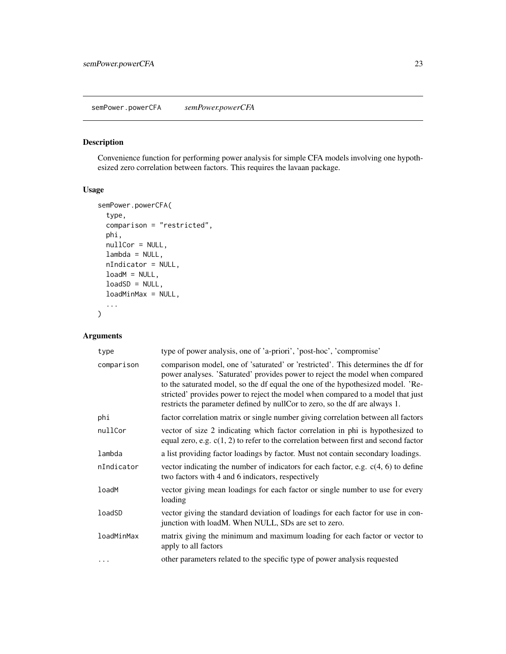#### <span id="page-22-0"></span>Description

Convenience function for performing power analysis for simple CFA models involving one hypothesized zero correlation between factors. This requires the lavaan package.

#### Usage

```
semPower.powerCFA(
  type,
 comparison = "restricted",
 phi,
 nullCor = NULL,
 lambda = NULL,nIndicator = NULL,
 loadM = NULL,loadSD = NULL,
  loadMinMax = NULL,
  ...
)
```

| type       | type of power analysis, one of 'a-priori', 'post-hoc', 'compromise'                                                                                                                                                                                                                                                                                                                                                   |
|------------|-----------------------------------------------------------------------------------------------------------------------------------------------------------------------------------------------------------------------------------------------------------------------------------------------------------------------------------------------------------------------------------------------------------------------|
| comparison | comparison model, one of 'saturated' or 'restricted'. This determines the df for<br>power analyses. 'Saturated' provides power to reject the model when compared<br>to the saturated model, so the df equal the one of the hypothesized model. 'Re-<br>stricted' provides power to reject the model when compared to a model that just<br>restricts the parameter defined by nullCor to zero, so the df are always 1. |
| phi        | factor correlation matrix or single number giving correlation between all factors                                                                                                                                                                                                                                                                                                                                     |
| nullCor    | vector of size 2 indicating which factor correlation in phi is hypothesized to<br>equal zero, e.g. $c(1, 2)$ to refer to the correlation between first and second factor                                                                                                                                                                                                                                              |
| lambda     | a list providing factor loadings by factor. Must not contain secondary loadings.                                                                                                                                                                                                                                                                                                                                      |
| nIndicator | vector indicating the number of indicators for each factor, e.g. $c(4, 6)$ to define<br>two factors with 4 and 6 indicators, respectively                                                                                                                                                                                                                                                                             |
| loadM      | vector giving mean loadings for each factor or single number to use for every<br>loading                                                                                                                                                                                                                                                                                                                              |
| loadSD     | vector giving the standard deviation of loadings for each factor for use in con-<br>junction with loadM. When NULL, SDs are set to zero.                                                                                                                                                                                                                                                                              |
| loadMinMax | matrix giving the minimum and maximum loading for each factor or vector to<br>apply to all factors                                                                                                                                                                                                                                                                                                                    |
| .          | other parameters related to the specific type of power analysis requested                                                                                                                                                                                                                                                                                                                                             |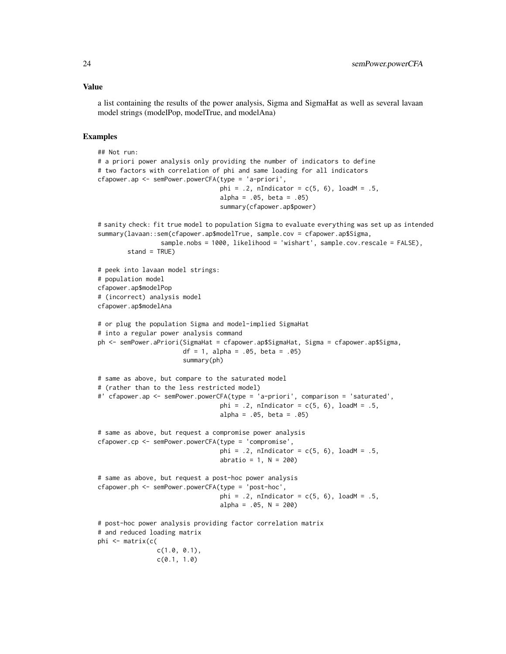#### Value

a list containing the results of the power analysis, Sigma and SigmaHat as well as several lavaan model strings (modelPop, modelTrue, and modelAna)

#### Examples

```
## Not run:
# a priori power analysis only providing the number of indicators to define
# two factors with correlation of phi and same loading for all indicators
cfapower.ap <- semPower.powerCFA(type = 'a-priori',
                                 phi = .2, nIndicator = c(5, 6), loadM = .5,
                                 alpha = .05, beta = .05)
                                 summary(cfapower.ap$power)
# sanity check: fit true model to population Sigma to evaluate everything was set up as intended
summary(lavaan::sem(cfapower.ap$modelTrue, sample.cov = cfapower.ap$Sigma,
                 sample.nobs = 1000, likelihood = 'wishart', sample.cov.rescale = FALSE),
        stand = TRUE)
# peek into lavaan model strings:
# population model
cfapower.ap$modelPop
# (incorrect) analysis model
cfapower.ap$modelAna
# or plug the population Sigma and model-implied SigmaHat
# into a regular power analysis command
ph <- semPower.aPriori(SigmaHat = cfapower.ap$SigmaHat, Sigma = cfapower.ap$Sigma,
                       df = 1, alpha = .05, beta = .05)
                       summary(ph)
# same as above, but compare to the saturated model
# (rather than to the less restricted model)
#' cfapower.ap <- semPower.powerCFA(type = 'a-priori', comparison = 'saturated',
                                 phi = .2, nIndicator = c(5, 6), loadM = .5,
                                 alpha = .05, beta = .05)
# same as above, but request a compromise power analysis
cfapower.cp <- semPower.powerCFA(type = 'compromise',
                                 phi = .2, nIndicator = c(5, 6), loadM = .5,
                                 abratio = 1, N = 200)
# same as above, but request a post-hoc power analysis
cfapower.ph <- semPower.powerCFA(type = 'post-hoc',
                                 phi = .2, nIndicator = c(5, 6), loadM = .5,
                                 alpha = .05, N = 200# post-hoc power analysis providing factor correlation matrix
# and reduced loading matrix
phi <- matrix(c(
                c(1.0, 0.1),
                c(0.1, 1.0)
```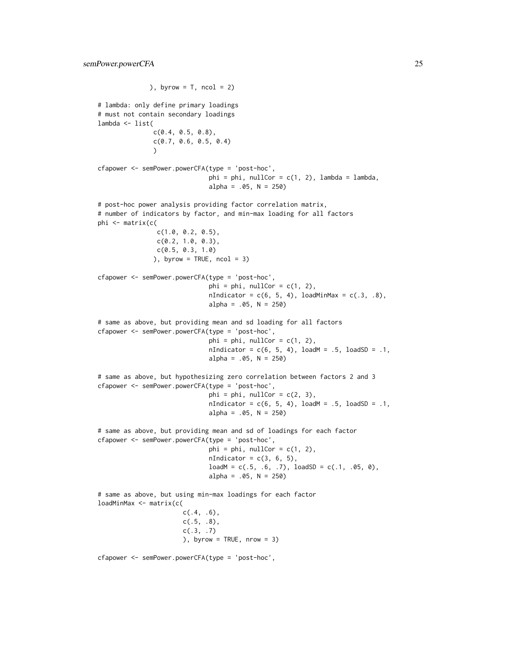), byrow =  $T$ , ncol = 2) # lambda: only define primary loadings # must not contain secondary loadings lambda <- list(  $c(0.4, 0.5, 0.8)$ , c(0.7, 0.6, 0.5, 0.4)  $\lambda$ cfapower <- semPower.powerCFA(type = 'post-hoc',  $phi = phi$ , nullCor = c(1, 2), lambda = lambda,  $alpha = .05$ ,  $N = 250$ # post-hoc power analysis providing factor correlation matrix, # number of indicators by factor, and min-max loading for all factors phi <- matrix(c( c(1.0, 0.2, 0.5), c(0.2, 1.0, 0.3), c(0.5, 0.3, 1.0) ), byrow = TRUE,  $ncol = 3$ ) cfapower <- semPower.powerCFA(type = 'post-hoc',  $phi = phi, nullCor = c(1, 2),$  $nIndication = c(6, 5, 4), loadMinMax = c(.3, .8),$  $alpha = .05$ ,  $N = 250$ # same as above, but providing mean and sd loading for all factors cfapower <- semPower.powerCFA(type = 'post-hoc',  $phi = phi$ , nullCor = c(1, 2),  $nIndication = c(6, 5, 4), loadM = .5, loadSD = .1,$  $alpha = .05$ ,  $N = 250$ # same as above, but hypothesizing zero correlation between factors 2 and 3 cfapower <- semPower.powerCFA(type = 'post-hoc',  $phi = phi$ , nullCor = c(2, 3),  $nIndication = c(6, 5, 4), loadM = .5, loadSD = .1,$  $alpha = .05$ ,  $N = 250$ # same as above, but providing mean and sd of loadings for each factor cfapower <- semPower.powerCFA(type = 'post-hoc', phi = phi, nullCor =  $c(1, 2)$ ,  $nIndication = c(3, 6, 5),$  $loadM = c(.5, .6, .7), loadSD = c(.1, .05, 0),$ alpha = .05, N = 250) # same as above, but using min-max loadings for each factor loadMinMax <- matrix(c(  $c(.4, .6)$ , c(.5, .8),  $c(.3, .7)$ ), byrow = TRUE, nrow = 3)

cfapower <- semPower.powerCFA(type = 'post-hoc',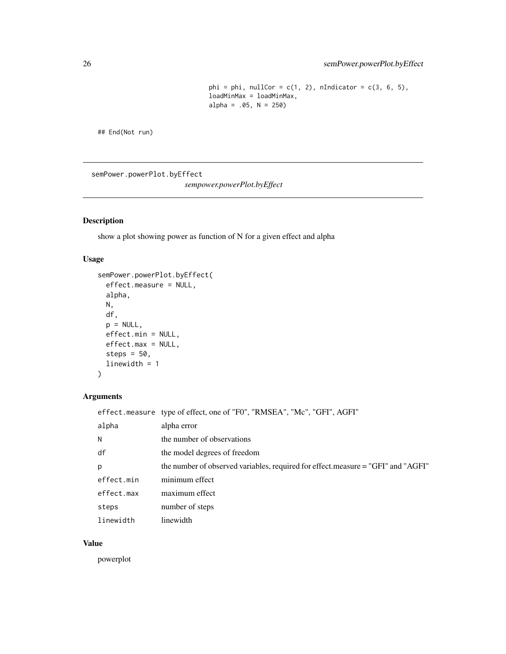```
phi = phi, nullCor = c(1, 2), nIndicator = c(3, 6, 5),
loadMinMax = loadMinMax,
alpha = .05, N = 250)
```
<span id="page-25-0"></span>## End(Not run)

semPower.powerPlot.byEffect

*sempower.powerPlot.byEffect*

#### Description

show a plot showing power as function of N for a given effect and alpha

#### Usage

```
semPower.powerPlot.byEffect(
  effect.measure = NULL,
  alpha,
 N,
 df,
 p = NULL,effect.min = NULL,
 effect.max = NULL,
  steps = 50,
 linewidth = 1
)
```
# Arguments

|            | effect.measure type of effect, one of "F0", "RMSEA", "Mc", "GFI", AGFI"          |
|------------|----------------------------------------------------------------------------------|
| alpha      | alpha error                                                                      |
| N          | the number of observations                                                       |
| df         | the model degrees of freedom                                                     |
| p          | the number of observed variables, required for effect.measure = "GFI" and "AGFI" |
| effect.min | minimum effect                                                                   |
| effect.max | maximum effect                                                                   |
| steps      | number of steps                                                                  |
| linewidth  | linewidth                                                                        |

#### Value

powerplot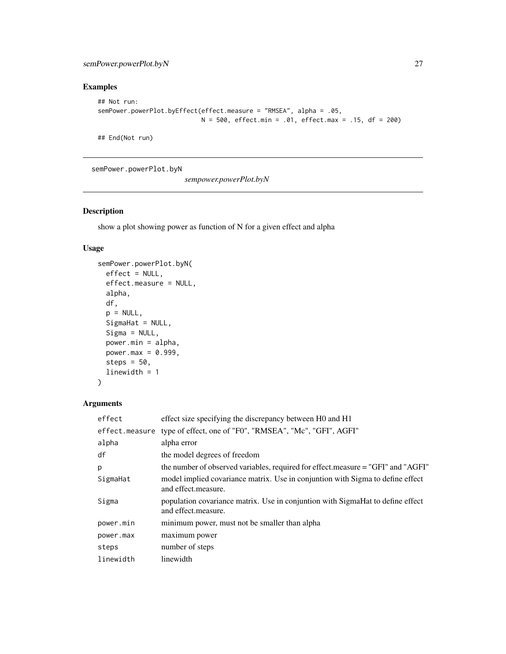#### <span id="page-26-0"></span>semPower.powerPlot.byN 27

# Examples

```
## Not run:
semPower.powerPlot.byEffect(effect.measure = "RMSEA", alpha = .05,
                            N = 500, effect.min = .01, effect.max = .15, df = 200)
```
## End(Not run)

semPower.powerPlot.byN

*sempower.powerPlot.byN*

#### Description

show a plot showing power as function of N for a given effect and alpha

#### Usage

```
semPower.powerPlot.byN(
 effect = NULL,
 effect.measure = NULL,
  alpha,
 df,
  p = NULL,SigmaHat = NULL,
  Sigma = NULL,
 power.min = alpha,
 power.max = 0.999,
  steps = 50,
  linewidth = 1
)
```

| effect         | effect size specifying the discrepancy between H0 and H1                                              |
|----------------|-------------------------------------------------------------------------------------------------------|
| effect.measure | type of effect, one of "F0", "RMSEA", "Mc", "GFI", AGFI"                                              |
| alpha          | alpha error                                                                                           |
| df             | the model degrees of freedom                                                                          |
| p              | the number of observed variables, required for effect.measure = "GFI" and "AGFI"                      |
| SigmaHat       | model implied covariance matrix. Use in conjuntion with Sigma to define effect<br>and effect.measure. |
| Sigma          | population covariance matrix. Use in conjuntion with SigmaHat to define effect<br>and effect.measure. |
| power.min      | minimum power, must not be smaller than alpha                                                         |
| power.max      | maximum power                                                                                         |
| steps          | number of steps                                                                                       |
| linewidth      | linewidth                                                                                             |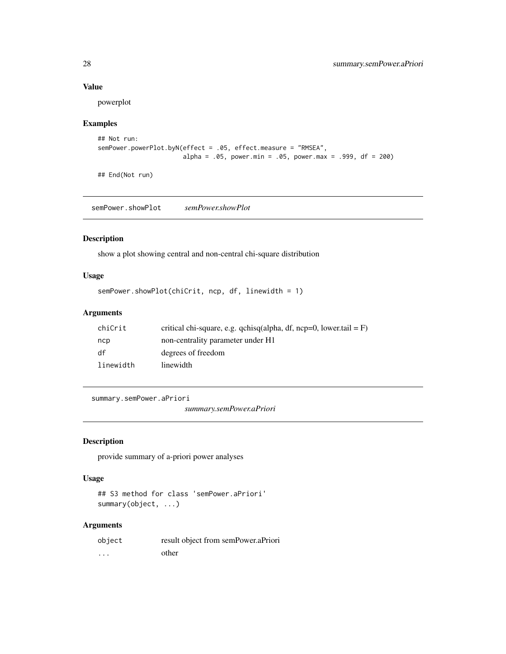#### Value

powerplot

#### Examples

```
## Not run:
semPower.powerPlot.byN(effect = .05, effect.measure = "RMSEA",
                       alpha = .05, power.min = .05, power.max = .999, df = 200)
```
## End(Not run)

semPower.showPlot *semPower.showPlot*

#### Description

show a plot showing central and non-central chi-square distribution

#### Usage

```
semPower.showPlot(chiCrit, ncp, df, linewidth = 1)
```
### Arguments

| chiCrit   | critical chi-square, e.g. qchisq(alpha, df, ncp=0, lower.tail = $F$ ) |
|-----------|-----------------------------------------------------------------------|
| ncp       | non-centrality parameter under H1                                     |
| df        | degrees of freedom                                                    |
| linewidth | linewidth                                                             |

summary.semPower.aPriori

*summary.semPower.aPriori*

### Description

provide summary of a-priori power analyses

#### Usage

```
## S3 method for class 'semPower.aPriori'
summary(object, ...)
```

| object   | result object from semPower.aPriori |
|----------|-------------------------------------|
| $\cdots$ | other                               |

<span id="page-27-0"></span>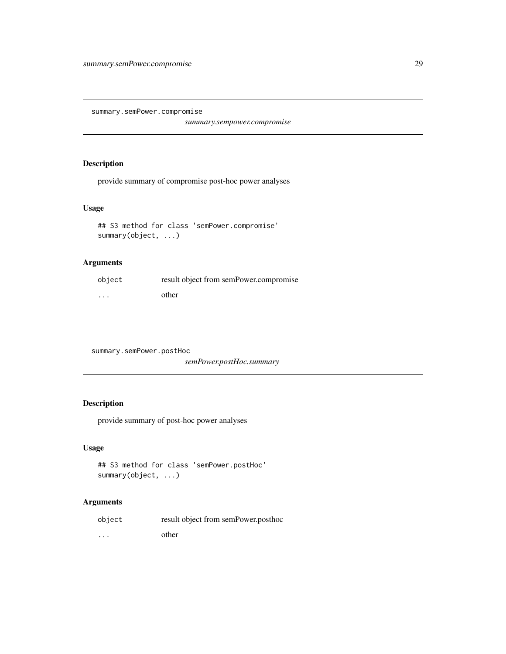<span id="page-28-0"></span>summary.semPower.compromise

*summary.sempower.compromise*

# Description

provide summary of compromise post-hoc power analyses

#### Usage

```
## S3 method for class 'semPower.compromise'
summary(object, ...)
```
#### Arguments

| object   | result object from semPower.compromise |
|----------|----------------------------------------|
| $\cdots$ | other                                  |

summary.semPower.postHoc

*semPower.postHoc.summary*

#### Description

provide summary of post-hoc power analyses

#### Usage

```
## S3 method for class 'semPower.postHoc'
summary(object, ...)
```

| object   | result object from semPower.posthoc |
|----------|-------------------------------------|
| $\cdots$ | other                               |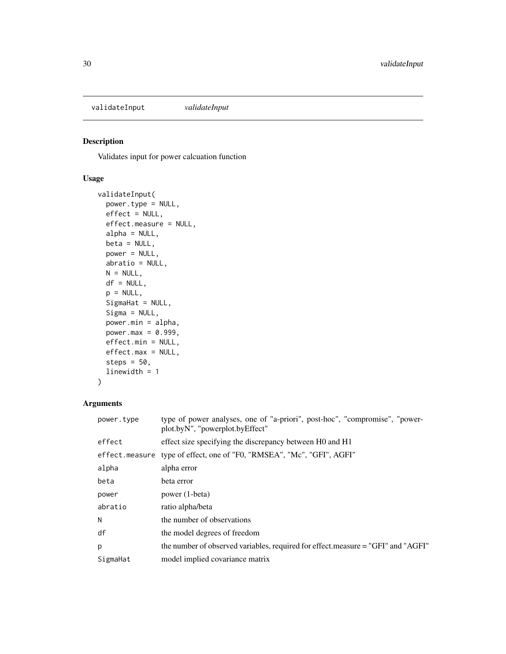<span id="page-29-0"></span>validateInput *validateInput*

#### Description

Validates input for power calcuation function

#### Usage

```
validateInput(
 power.type = NULL,
 effect = NULL,effect.measure = NULL,
  alpha = NULL,
 beta = NULL,
 power = NULL,
 abratio = NULL,
 N = NULL,df = NULL,p = NULL,SigmaHat = NULL,
  Sigma = NULL,
 power.min = alpha,
 power.max = 0.999,
 effect.min = NULL,
 effect.max = NULL,
  steps = 50,
  linewidth = 1
)
```

| power.type | type of power analyses, one of "a-priori", post-hoc", "compromise", "power-<br>plot.byN", "powerplot.byEffect" |
|------------|----------------------------------------------------------------------------------------------------------------|
| effect     | effect size specifying the discrepancy between H0 and H1                                                       |
|            | effect.measure type of effect, one of "F0, "RMSEA", "Mc", "GFI", AGFI"                                         |
| alpha      | alpha error                                                                                                    |
| beta       | beta error                                                                                                     |
| power      | power (1-beta)                                                                                                 |
| abratio    | ratio alpha/beta                                                                                               |
| N          | the number of observations                                                                                     |
| df         | the model degrees of freedom                                                                                   |
| p          | the number of observed variables, required for effect.measure = "GFI" and "AGFI"                               |
| SigmaHat   | model implied covariance matrix                                                                                |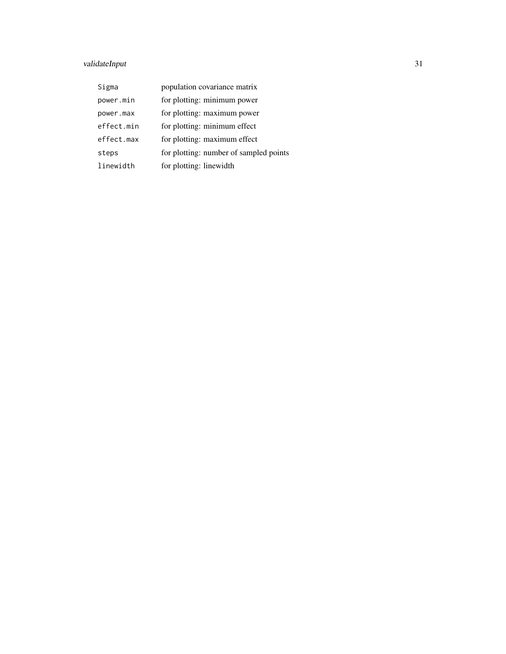# validateInput 31

| Sigma      | population covariance matrix           |
|------------|----------------------------------------|
| power.min  | for plotting: minimum power            |
| power.max  | for plotting: maximum power            |
| effect.min | for plotting: minimum effect           |
| effect.max | for plotting: maximum effect           |
| steps      | for plotting: number of sampled points |
| linewidth  | for plotting: linewidth                |